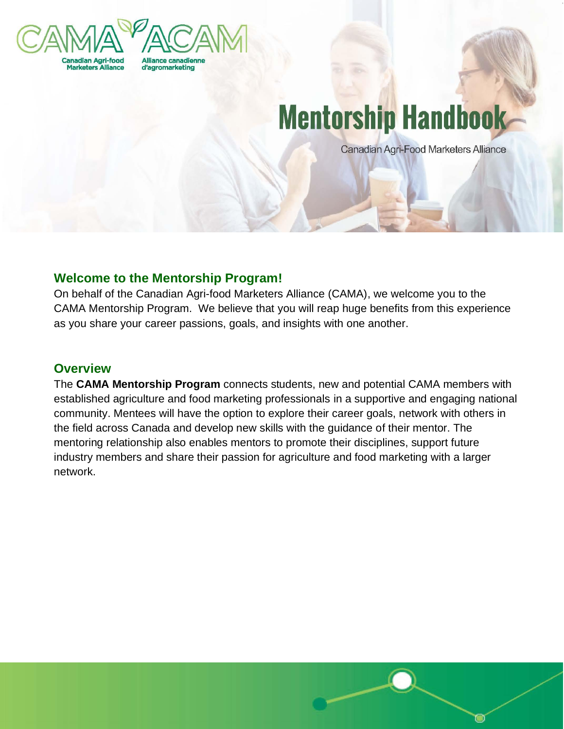

# **Mentorship Handbook-**

Canadian Agri-Food Marketers Alliance

# **Welcome to the Mentorship Program!**

On behalf of the Canadian Agri-food Marketers Alliance (CAMA), we welcome you to the CAMA Mentorship Program. We believe that you will reap huge benefits from this experience as you share your career passions, goals, and insights with one another.

## **Overview**

The **CAMA Mentorship Program** connects students, new and potential CAMA members with established agriculture and food marketing professionals in a supportive and engaging national community. Mentees will have the option to explore their career goals, network with others in the field across Canada and develop new skills with the guidance of their mentor. The mentoring relationship also enables mentors to promote their disciplines, support future industry members and share their passion for agriculture and food marketing with a larger network.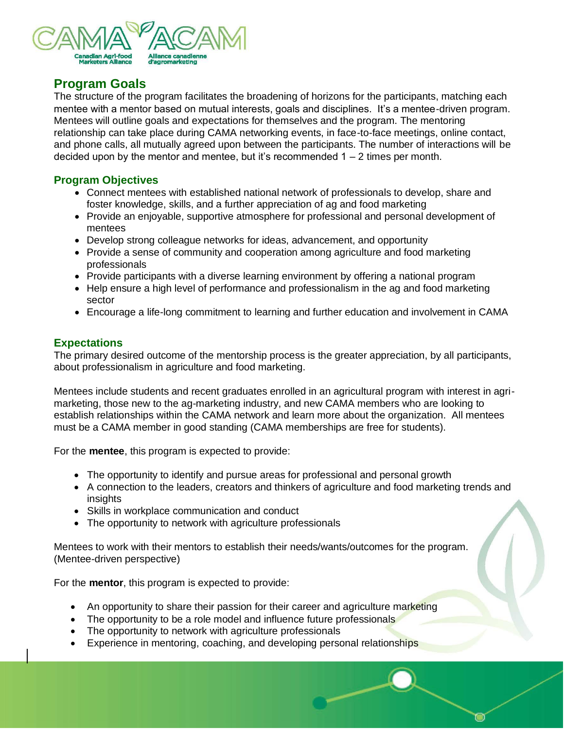

# **Program Goals**

The structure of the program facilitates the broadening of horizons for the participants, matching each mentee with a mentor based on mutual interests, goals and disciplines. It's a mentee-driven program. Mentees will outline goals and expectations for themselves and the program. The mentoring relationship can take place during CAMA networking events, in face-to-face meetings, online contact, and phone calls, all mutually agreed upon between the participants. The number of interactions will be decided upon by the mentor and mentee, but it's recommended  $1 - 2$  times per month.

#### **Program Objectives**

- Connect mentees with established national network of professionals to develop, share and foster knowledge, skills, and a further appreciation of ag and food marketing
- Provide an enjoyable, supportive atmosphere for professional and personal development of mentees
- Develop strong colleague networks for ideas, advancement, and opportunity
- Provide a sense of community and cooperation among agriculture and food marketing professionals
- Provide participants with a diverse learning environment by offering a national program
- Help ensure a high level of performance and professionalism in the ag and food marketing sector
- Encourage a life-long commitment to learning and further education and involvement in CAMA

#### **Expectations**

The primary desired outcome of the mentorship process is the greater appreciation, by all participants, about professionalism in agriculture and food marketing.

Mentees include students and recent graduates enrolled in an agricultural program with interest in agrimarketing, those new to the ag-marketing industry, and new CAMA members who are looking to establish relationships within the CAMA network and learn more about the organization. All mentees must be a CAMA member in good standing (CAMA memberships are free for students).

For the **mentee**, this program is expected to provide:

- The opportunity to identify and pursue areas for professional and personal growth
- A connection to the leaders, creators and thinkers of agriculture and food marketing trends and insights
- Skills in workplace communication and conduct
- The opportunity to network with agriculture professionals

Mentees to work with their mentors to establish their needs/wants/outcomes for the program. (Mentee-driven perspective)

For the **mentor**, this program is expected to provide:

- An opportunity to share their passion for their career and agriculture marketing
- The opportunity to be a role model and influence future professionals
- The opportunity to network with agriculture professionals
- Experience in mentoring, coaching, and developing personal relationships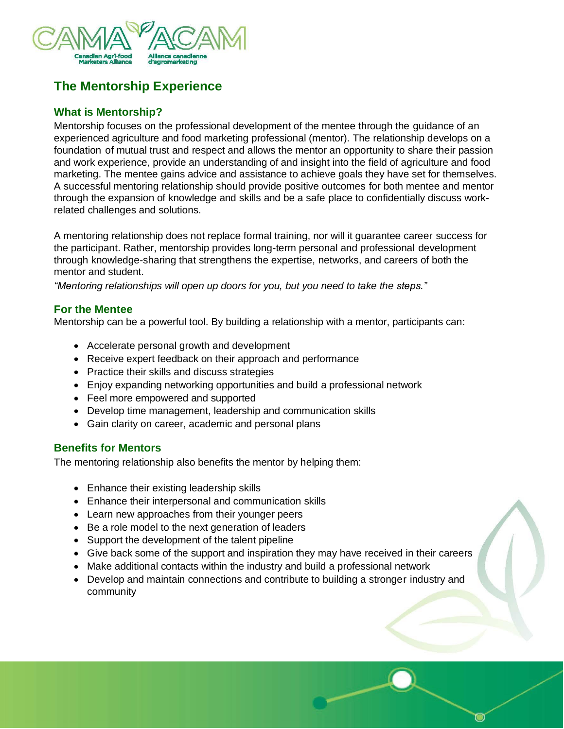

# **The Mentorship Experience**

## **What is Mentorship?**

Mentorship focuses on the professional development of the mentee through the guidance of an experienced agriculture and food marketing professional (mentor). The relationship develops on a foundation of mutual trust and respect and allows the mentor an opportunity to share their passion and work experience, provide an understanding of and insight into the field of agriculture and food marketing. The mentee gains advice and assistance to achieve goals they have set for themselves. A successful mentoring relationship should provide positive outcomes for both mentee and mentor through the expansion of knowledge and skills and be a safe place to confidentially discuss workrelated challenges and solutions.

A mentoring relationship does not replace formal training, nor will it guarantee career success for the participant. Rather, mentorship provides long-term personal and professional development through knowledge-sharing that strengthens the expertise, networks, and careers of both the mentor and student.

*"Mentoring relationships will open up doors for you, but you need to take the steps."*

#### **For the Mentee**

Mentorship can be a powerful tool. By building a relationship with a mentor, participants can:

- Accelerate personal growth and development
- Receive expert feedback on their approach and performance
- Practice their skills and discuss strategies
- Enjoy expanding networking opportunities and build a professional network
- Feel more empowered and supported
- Develop time management, leadership and communication skills
- Gain clarity on career, academic and personal plans

## **Benefits for Mentors**

The mentoring relationship also benefits the mentor by helping them:

- Enhance their existing leadership skills
- Enhance their interpersonal and communication skills
- Learn new approaches from their younger peers
- Be a role model to the next generation of leaders
- Support the development of the talent pipeline
- Give back some of the support and inspiration they may have received in their careers
- Make additional contacts within the industry and build a professional network
- Develop and maintain connections and contribute to building a stronger industry and community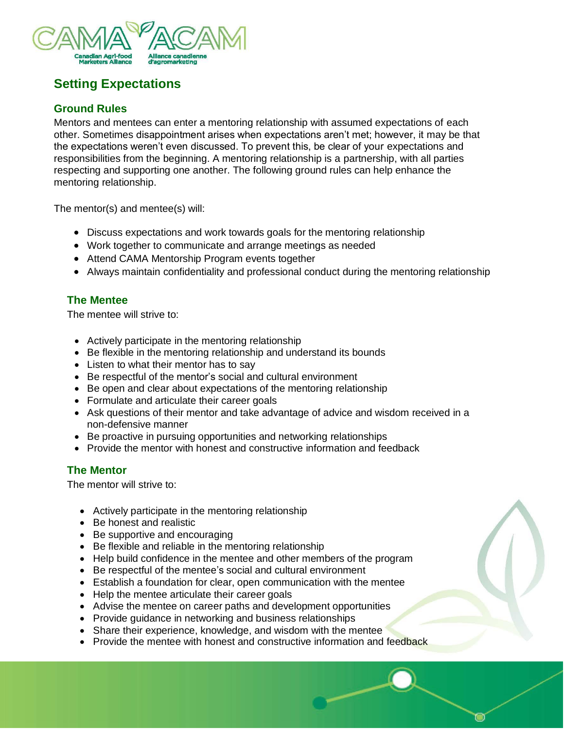

# **Setting Expectations**

## **Ground Rules**

Mentors and mentees can enter a mentoring relationship with assumed expectations of each other. Sometimes disappointment arises when expectations aren't met; however, it may be that the expectations weren't even discussed. To prevent this, be clear of your expectations and responsibilities from the beginning. A mentoring relationship is a partnership, with all parties respecting and supporting one another. The following ground rules can help enhance the mentoring relationship.

The mentor(s) and mentee(s) will:

- Discuss expectations and work towards goals for the mentoring relationship
- Work together to communicate and arrange meetings as needed
- Attend CAMA Mentorship Program events together
- Always maintain confidentiality and professional conduct during the mentoring relationship

## **The Mentee**

The mentee will strive to:

- Actively participate in the mentoring relationship
- Be flexible in the mentoring relationship and understand its bounds
- Listen to what their mentor has to say
- Be respectful of the mentor's social and cultural environment
- Be open and clear about expectations of the mentoring relationship
- Formulate and articulate their career goals
- Ask questions of their mentor and take advantage of advice and wisdom received in a non-defensive manner
- Be proactive in pursuing opportunities and networking relationships
- Provide the mentor with honest and constructive information and feedback

## **The Mentor**

The mentor will strive to:

- Actively participate in the mentoring relationship
- Be honest and realistic
- Be supportive and encouraging
- Be flexible and reliable in the mentoring relationship
- Help build confidence in the mentee and other members of the program
- Be respectful of the mentee's social and cultural environment
- Establish a foundation for clear, open communication with the mentee
- Help the mentee articulate their career goals
- Advise the mentee on career paths and development opportunities
- Provide guidance in networking and business relationships
- Share their experience, knowledge, and wisdom with the mentee
- Provide the mentee with honest and constructive information and feedback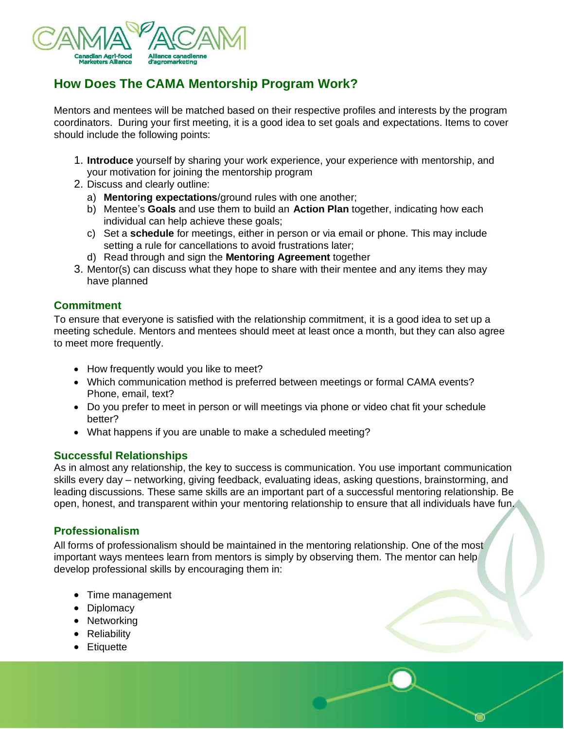

# **How Does The CAMA Mentorship Program Work?**

Mentors and mentees will be matched based on their respective profiles and interests by the program coordinators. During your first meeting, it is a good idea to set goals and expectations. Items to cover should include the following points:

- 1. **Introduce** yourself by sharing your work experience, your experience with mentorship, and your motivation for joining the mentorship program
- 2. Discuss and clearly outline:
	- a) **Mentoring expectations**/ground rules with one another;
	- b) Mentee's **Goals** and use them to build an **Action Plan** together, indicating how each individual can help achieve these goals;
	- c) Set a **schedule** for meetings, either in person or via email or phone. This may include setting a rule for cancellations to avoid frustrations later;
	- d) Read through and sign the **Mentoring Agreement** together
- 3. Mentor(s) can discuss what they hope to share with their mentee and any items they may have planned

#### **Commitment**

To ensure that everyone is satisfied with the relationship commitment, it is a good idea to set up a meeting schedule. Mentors and mentees should meet at least once a month, but they can also agree to meet more frequently.

- How frequently would you like to meet?
- Which communication method is preferred between meetings or formal CAMA events? Phone, email, text?
- Do you prefer to meet in person or will meetings via phone or video chat fit your schedule better?
- What happens if you are unable to make a scheduled meeting?

#### **Successful Relationships**

As in almost any relationship, the key to success is communication. You use important communication skills every day – networking, giving feedback, evaluating ideas, asking questions, brainstorming, and leading discussions. These same skills are an important part of a successful mentoring relationship. Be open, honest, and transparent within your mentoring relationship to ensure that all individuals have fun.

## **Professionalism**

All forms of professionalism should be maintained in the mentoring relationship. One of the most important ways mentees learn from mentors is simply by observing them. The mentor can help develop professional skills by encouraging them in:

- Time management
- Diplomacy
- Networking
- Reliability
- Etiquette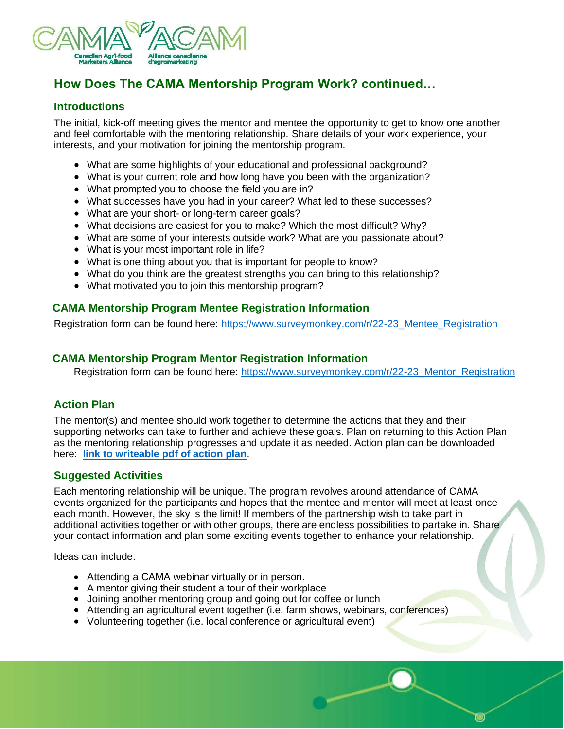

# **How Does The CAMA Mentorship Program Work? continued…**

#### **Introductions**

The initial, kick-off meeting gives the mentor and mentee the opportunity to get to know one another and feel comfortable with the mentoring relationship. Share details of your work experience, your interests, and your motivation for joining the mentorship program.

- What are some highlights of your educational and professional background?
- What is your current role and how long have you been with the organization?
- What prompted you to choose the field you are in?
- What successes have you had in your career? What led to these successes?
- What are your short- or long-term career goals?
- What decisions are easiest for you to make? Which the most difficult? Why?
- What are some of your interests outside work? What are you passionate about?
- What is your most important role in life?
- What is one thing about you that is important for people to know?
- What do you think are the greatest strengths you can bring to this relationship?
- What motivated you to join this mentorship program?

## **CAMA Mentorship Program Mentee Registration Information**

Registration form can be found here: [https://www.surveymonkey.com/r/22-23\\_Mentee\\_Registration](https://www.surveymonkey.com/r/22-23_Mentee_Registration)

#### **CAMA Mentorship Program Mentor Registration Information**

Registration form can be found here: [https://www.surveymonkey.com/r/22-23\\_Mentor\\_Registration](https://www.surveymonkey.com/r/22-23_Mentor_Registration)

## **Action Plan**

The mentor(s) and mentee should work together to determine the actions that they and their supporting networks can take to further and achieve these goals. Plan on returning to this Action Plan as the mentoring relationship progresses and update it as needed. Action plan can be downloaded here: **[link to writeable pdf of action plan](https://www.cama.org/wp-content/uploads/2021/06/Mentorship-Action-Plan-fillable.pdf)**.

## **Suggested Activities**

Each mentoring relationship will be unique. The program revolves around attendance of CAMA events organized for the participants and hopes that the mentee and mentor will meet at least once each month. However, the sky is the limit! If members of the partnership wish to take part in additional activities together or with other groups, there are endless possibilities to partake in. Share your contact information and plan some exciting events together to enhance your relationship.

Ideas can include:

- Attending a CAMA webinar virtually or in person.
- A mentor giving their student a tour of their workplace
- Joining another mentoring group and going out for coffee or lunch
- Attending an agricultural event together (i.e. farm shows, webinars, conferences)
- Volunteering together (i.e. local conference or agricultural event)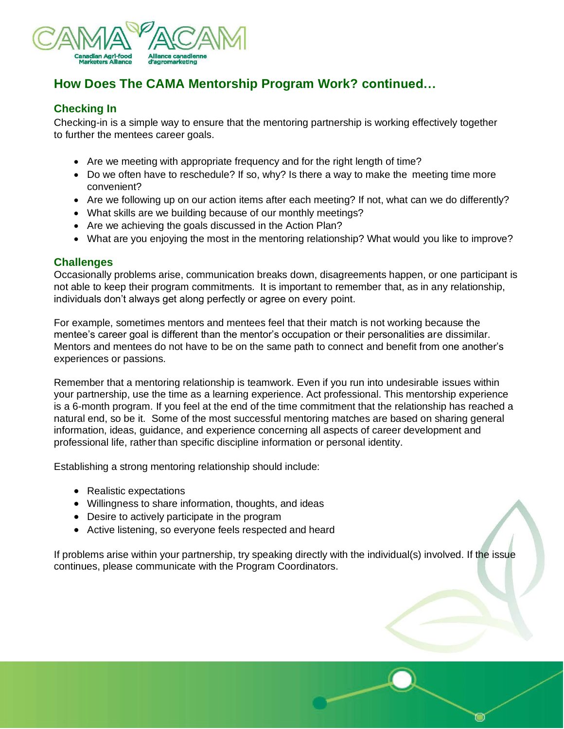

# **How Does The CAMA Mentorship Program Work? continued…**

## **Checking In**

Checking-in is a simple way to ensure that the mentoring partnership is working effectively together to further the mentees career goals.

- Are we meeting with appropriate frequency and for the right length of time?
- Do we often have to reschedule? If so, why? Is there a way to make the meeting time more convenient?
- Are we following up on our action items after each meeting? If not, what can we do differently?
- What skills are we building because of our monthly meetings?
- Are we achieving the goals discussed in the Action Plan?
- What are you enjoying the most in the mentoring relationship? What would you like to improve?

#### **Challenges**

Occasionally problems arise, communication breaks down, disagreements happen, or one participant is not able to keep their program commitments. It is important to remember that, as in any relationship, individuals don't always get along perfectly or agree on every point.

For example, sometimes mentors and mentees feel that their match is not working because the mentee's career goal is different than the mentor's occupation or their personalities are dissimilar. Mentors and mentees do not have to be on the same path to connect and benefit from one another's experiences or passions.

Remember that a mentoring relationship is teamwork. Even if you run into undesirable issues within your partnership, use the time as a learning experience. Act professional. This mentorship experience is a 6-month program. If you feel at the end of the time commitment that the relationship has reached a natural end, so be it. Some of the most successful mentoring matches are based on sharing general information, ideas, guidance, and experience concerning all aspects of career development and professional life, rather than specific discipline information or personal identity.

Establishing a strong mentoring relationship should include:

- Realistic expectations
- Willingness to share information, thoughts, and ideas
- Desire to actively participate in the program
- Active listening, so everyone feels respected and heard

If problems arise within your partnership, try speaking directly with the individual(s) involved. If the issue continues, please communicate with the Program Coordinators.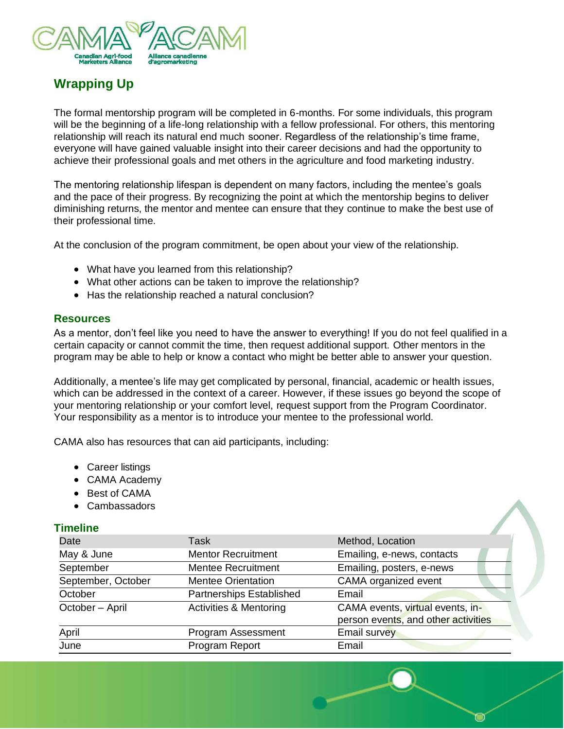

# **Wrapping Up**

The formal mentorship program will be completed in 6-months. For some individuals, this program will be the beginning of a life-long relationship with a fellow professional. For others, this mentoring relationship will reach its natural end much sooner. Regardless of the relationship's time frame, everyone will have gained valuable insight into their career decisions and had the opportunity to achieve their professional goals and met others in the agriculture and food marketing industry.

The mentoring relationship lifespan is dependent on many factors, including the mentee's goals and the pace of their progress. By recognizing the point at which the mentorship begins to deliver diminishing returns, the mentor and mentee can ensure that they continue to make the best use of their professional time.

At the conclusion of the program commitment, be open about your view of the relationship.

- What have you learned from this relationship?
- What other actions can be taken to improve the relationship?
- Has the relationship reached a natural conclusion?

#### **Resources**

As a mentor, don't feel like you need to have the answer to everything! If you do not feel qualified in a certain capacity or cannot commit the time, then request additional support. Other mentors in the program may be able to help or know a contact who might be better able to answer your question.

Additionally, a mentee's life may get complicated by personal, financial, academic or health issues, which can be addressed in the context of a career. However, if these issues go beyond the scope of your mentoring relationship or your comfort level, request support from the Program Coordinator. Your responsibility as a mentor is to introduce your mentee to the professional world.

CAMA also has resources that can aid participants, including:

- Career listings
- CAMA Academy
- Best of CAMA
- Cambassadors

#### **Timeline**

| Date               | <b>Task</b>                       | Method, Location                                                        |
|--------------------|-----------------------------------|-------------------------------------------------------------------------|
| May & June         | <b>Mentor Recruitment</b>         | Emailing, e-news, contacts                                              |
| September          | <b>Mentee Recruitment</b>         | Emailing, posters, e-news                                               |
| September, October | <b>Mentee Orientation</b>         | CAMA organized event                                                    |
| October            | Partnerships Established          | Email                                                                   |
| October - April    | <b>Activities &amp; Mentoring</b> | CAMA events, virtual events, in-<br>person events, and other activities |
| April              | Program Assessment                | <b>Email survey</b>                                                     |
| June               | Program Report                    | Email                                                                   |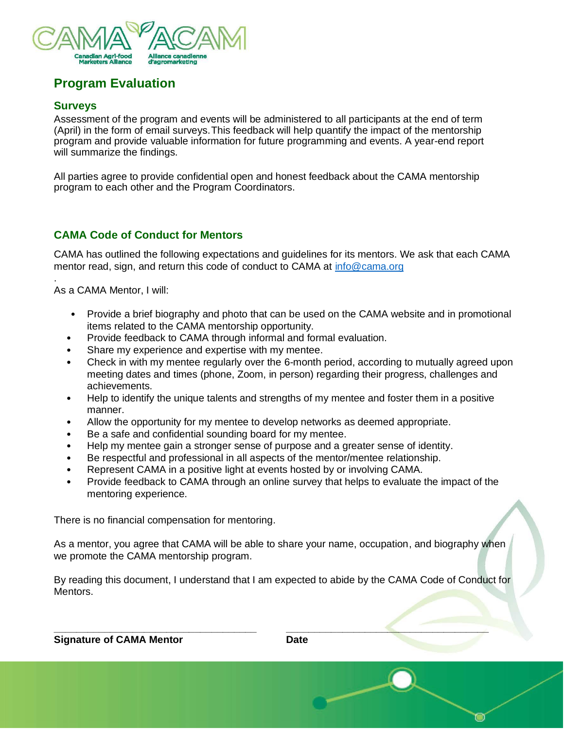

# **Program Evaluation**

#### **Surveys**

.

Assessment of the program and events will be administered to all participants at the end of term (April) in the form of email surveys.This feedback will help quantify the impact of the mentorship program and provide valuable information for future programming and events. A year-end report will summarize the findings.

All parties agree to provide confidential open and honest feedback about the CAMA mentorship program to each other and the Program Coordinators.

## **CAMA Code of Conduct for Mentors**

CAMA has outlined the following expectations and guidelines for its mentors. We ask that each CAMA mentor read, sign, and return this code of conduct to CAMA at [info@cama.org](mailto:info@cama.org)

As a CAMA Mentor, I will:

- Provide a brief biography and photo that can be used on the CAMA website and in promotional items related to the CAMA mentorship opportunity.
- Provide feedback to CAMA through informal and formal evaluation.
- Share my experience and expertise with my mentee.
- Check in with my mentee regularly over the 6-month period, according to mutually agreed upon meeting dates and times (phone, Zoom, in person) regarding their progress, challenges and achievements.
- Help to identify the unique talents and strengths of my mentee and foster them in a positive manner.
- Allow the opportunity for my mentee to develop networks as deemed appropriate.
- Be a safe and confidential sounding board for my mentee.
- Help my mentee gain a stronger sense of purpose and a greater sense of identity.
- Be respectful and professional in all aspects of the mentor/mentee relationship.
- Represent CAMA in a positive light at events hosted by or involving CAMA.
- Provide feedback to CAMA through an online survey that helps to evaluate the impact of the mentoring experience.

There is no financial compensation for mentoring.

As a mentor, you agree that CAMA will be able to share your name, occupation, and biography when we promote the CAMA mentorship program.

By reading this document, I understand that I am expected to abide by the CAMA Code of Conduct for Mentors.

**\_\_\_\_\_\_\_\_\_\_\_\_\_\_\_\_\_\_\_\_\_\_\_\_\_\_\_\_\_\_\_\_\_\_\_\_ \_\_\_\_\_\_\_\_\_\_\_\_\_\_\_\_\_\_\_\_\_\_\_\_\_\_\_\_\_\_\_\_\_\_\_\_**

**Signature of CAMA Mentor Campbell Campbell Cate**